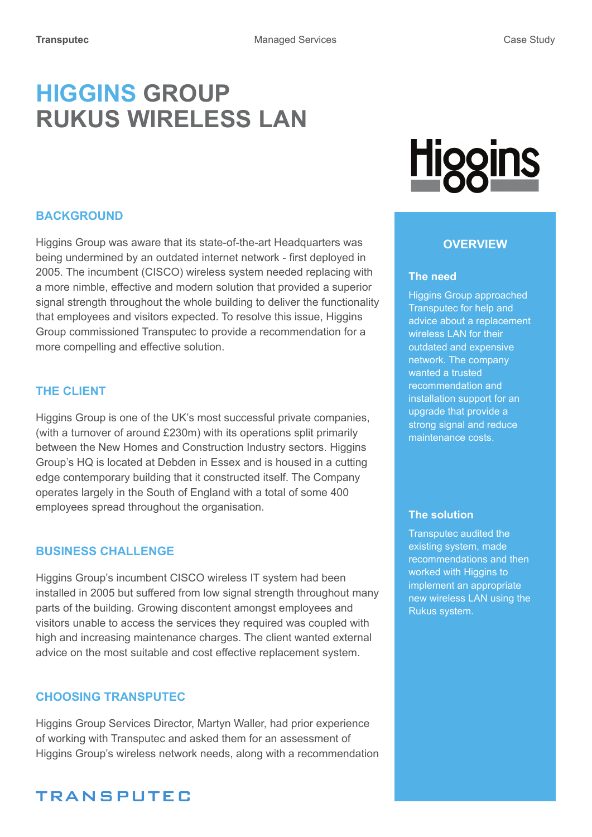# **HIGGINS GROUP RUKUS WIRELESS LAN**

#### **Background**

Higgins Group was aware that its state-of-the-art Headquarters was being undermined by an outdated internet network - first deployed in 2005. The incumbent (CISCO) wireless system needed replacing with a more nimble, effective and modern solution that provided a superior signal strength throughout the whole building to deliver the functionality that employees and visitors expected. To resolve this issue, Higgins Group commissioned Transputec to provide a recommendation for a more compelling and effective solution.

#### **The Client**

Higgins Group is one of the UK's most successful private companies, (with a turnover of around £230m) with its operations split primarily between the New Homes and Construction Industry sectors. Higgins Group's HQ is located at Debden in Essex and is housed in a cutting edge contemporary building that it constructed itself. The Company operates largely in the South of England with a total of some 400 employees spread throughout the organisation.

#### **BUSINESS CHALLENGE**

Higgins Group's incumbent CISCO wireless IT system had been installed in 2005 but suffered from low signal strength throughout many parts of the building. Growing discontent amongst employees and visitors unable to access the services they required was coupled with high and increasing maintenance charges. The client wanted external advice on the most suitable and cost effective replacement system.

#### **Choosing Transputec**

Higgins Group Services Director, Martyn Waller, had prior experience of working with Transputec and asked them for an assessment of Higgins Group's wireless network needs, along with a recommendation

## **TRANSPUTEC**

# <u>Higgins</u>

#### **Overview**

#### **The need**

Higgins Group approached Transputec for help and advice about a replacement wireless LAN for their outdated and expensive network. The company wanted a trusted recommendation and installation support for an upgrade that provide a strong signal and reduce maintenance costs.

#### **The solution**

Transputec audited the existing system, made recommendations and then worked with Higgins to implement an appropriate new wireless LAN using the Rukus system.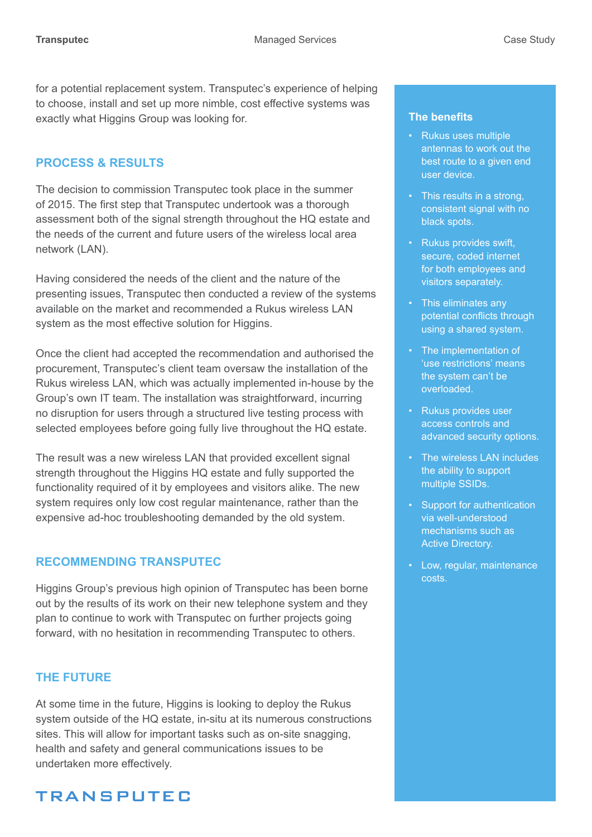for a potential replacement system. Transputec's experience of helping to choose, install and set up more nimble, cost effective systems was exactly what Higgins Group was looking for.

#### **Process & results**

The decision to commission Transputec took place in the summer of 2015. The first step that Transputec undertook was a thorough assessment both of the signal strength throughout the HQ estate and the needs of the current and future users of the wireless local area network (LAN).

Having considered the needs of the client and the nature of the presenting issues, Transputec then conducted a review of the systems available on the market and recommended a Rukus wireless LAN system as the most effective solution for Higgins.

Once the client had accepted the recommendation and authorised the procurement, Transputec's client team oversaw the installation of the Rukus wireless LAN, which was actually implemented in-house by the Group's own IT team. The installation was straightforward, incurring no disruption for users through a structured live testing process with selected employees before going fully live throughout the HQ estate.

The result was a new wireless LAN that provided excellent signal strength throughout the Higgins HQ estate and fully supported the functionality required of it by employees and visitors alike. The new system requires only low cost regular maintenance, rather than the expensive ad-hoc troubleshooting demanded by the old system.

#### **Recommending Transputec**

Higgins Group's previous high opinion of Transputec has been borne out by the results of its work on their new telephone system and they plan to continue to work with Transputec on further projects going forward, with no hesitation in recommending Transputec to others.

#### **The future**

At some time in the future, Higgins is looking to deploy the Rukus system outside of the HQ estate, in-situ at its numerous constructions sites. This will allow for important tasks such as on-site snagging, health and safety and general communications issues to be undertaken more effectively.

# **TRANSPUTEC**

#### **The benefits**

- Rukus uses multiple antennas to work out the best route to a given end user device.
- This results in a strong, consistent signal with no black spots.
- Rukus provides swift, secure, coded internet for both employees and visitors separately.
- This eliminates any potential conflicts through using a shared system.
- The implementation of 'use restrictions' means the system can't be overloaded.
- Rukus provides user access controls and advanced security options.
- The wireless LAN includes the ability to support multiple SSIDs.
- Support for authentication via well-understood mechanisms such as Active Directory.
- Low, regular, maintenance costs.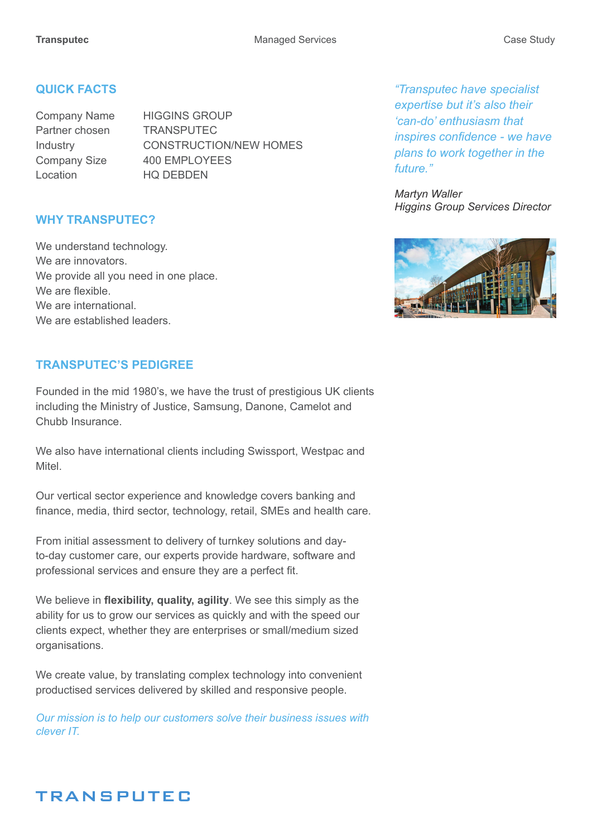#### **Quick Facts**

Partner chosen TRANSPUTEC Location HO DEBDEN

Company Name HIGGINS GROUP Industry CONSTRUCTION/NEW HOMES Company Size 400 EMPLOYEES

#### **Why Transputec?**

We understand technology. We are innovators. We provide all you need in one place. We are flexible We are international We are established leaders.

#### **TRANSPUTEC'S PEDIGREE**

Founded in the mid 1980's, we have the trust of prestigious UK clients including the Ministry of Justice, Samsung, Danone, Camelot and Chubb Insurance.

We also have international clients including Swissport, Westpac and Mitel.

Our vertical sector experience and knowledge covers banking and finance, media, third sector, technology, retail, SMEs and health care.

From initial assessment to delivery of turnkey solutions and dayto-day customer care, our experts provide hardware, software and professional services and ensure they are a perfect fit.

We believe in **flexibility, quality, agility**. We see this simply as the ability for us to grow our services as quickly and with the speed our clients expect, whether they are enterprises or small/medium sized organisations.

We create value, by translating complex technology into convenient productised services delivered by skilled and responsive people.

*Our mission is to help our customers solve their business issues with clever IT.*

*"Transputec have specialist expertise but it's also their 'can-do' enthusiasm that inspires confidence - we have plans to work together in the future."*

*Martyn Waller Higgins Group Services Director*



### **TRANSPUTEC**